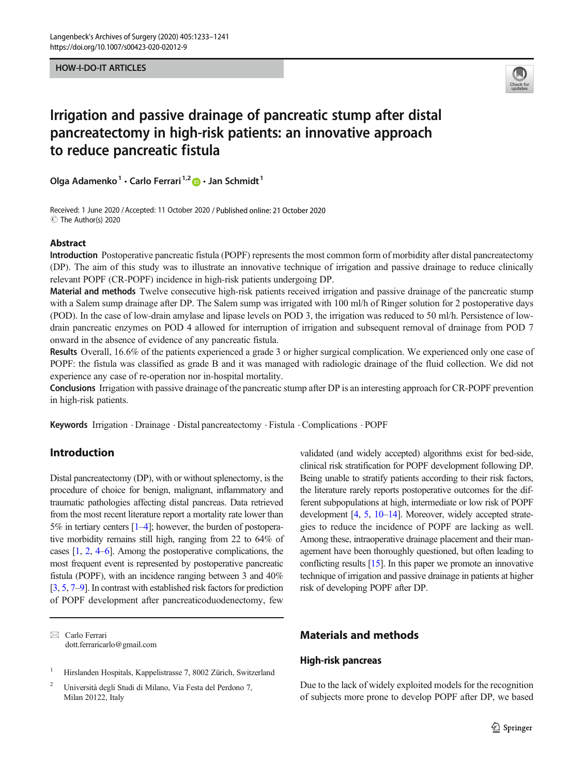HOW-I-DO-IT ARTICLES



# Irrigation and passive drainage of pancreatic stump after distal pancreatectomy in high-risk patients: an innovative approach to reduce pancreatic fistula

Olga Adamenko<sup>1</sup> · Carlo Ferrari<sup>1,2</sup> D · Jan Schmidt<sup>1</sup>

Received: 1 June 2020 / Accepted: 11 October 2020 / Published online: 21 October 2020  $\circledcirc$  The Author(s) 2020

## Abstract

Introduction Postoperative pancreatic fistula (POPF) represents the most common form of morbidity after distal pancreatectomy (DP). The aim of this study was to illustrate an innovative technique of irrigation and passive drainage to reduce clinically relevant POPF (CR-POPF) incidence in high-risk patients undergoing DP.

Material and methods Twelve consecutive high-risk patients received irrigation and passive drainage of the pancreatic stump with a Salem sump drainage after DP. The Salem sump was irrigated with 100 ml/h of Ringer solution for 2 postoperative days (POD). In the case of low-drain amylase and lipase levels on POD 3, the irrigation was reduced to 50 ml/h. Persistence of lowdrain pancreatic enzymes on POD 4 allowed for interruption of irrigation and subsequent removal of drainage from POD 7 onward in the absence of evidence of any pancreatic fistula.

Results Overall, 16.6% of the patients experienced a grade 3 or higher surgical complication. We experienced only one case of POPF: the fistula was classified as grade B and it was managed with radiologic drainage of the fluid collection. We did not experience any case of re-operation nor in-hospital mortality.

Conclusions Irrigation with passive drainage of the pancreatic stump after DP is an interesting approach for CR-POPF prevention in high-risk patients.

Keywords Irrigation . Drainage . Distal pancreatectomy . Fistula . Complications . POPF

# Introduction

Distal pancreatectomy (DP), with or without splenectomy, is the procedure of choice for benign, malignant, inflammatory and traumatic pathologies affecting distal pancreas. Data retrieved from the most recent literature report a mortality rate lower than 5% in tertiary centers [\[1](#page-6-0)–[4](#page-6-0)]; however, the burden of postoperative morbidity remains still high, ranging from 22 to 64% of cases [\[1,](#page-6-0) [2,](#page-6-0) [4](#page-6-0)–[6\]](#page-7-0). Among the postoperative complications, the most frequent event is represented by postoperative pancreatic fistula (POPF), with an incidence ranging between 3 and 40% [\[3,](#page-6-0) [5,](#page-6-0) [7](#page-7-0)–[9](#page-7-0)]. In contrast with established risk factors for prediction of POPF development after pancreaticoduodenectomy, few

 $\boxtimes$  Carlo Ferrari [dott.ferraricarlo@gmail.com](mailto:dott.ferraricarlo@gmail.com) validated (and widely accepted) algorithms exist for bed-side, clinical risk stratification for POPF development following DP. Being unable to stratify patients according to their risk factors, the literature rarely reports postoperative outcomes for the different subpopulations at high, intermediate or low risk of POPF development [\[4,](#page-6-0) [5](#page-6-0), [10](#page-7-0)–[14](#page-7-0)]. Moreover, widely accepted strategies to reduce the incidence of POPF are lacking as well. Among these, intraoperative drainage placement and their management have been thoroughly questioned, but often leading to conflicting results [\[15\]](#page-7-0). In this paper we promote an innovative technique of irrigation and passive drainage in patients at higher risk of developing POPF after DP.

# Materials and methods

# High-risk pancreas

Due to the lack of widely exploited models for the recognition of subjects more prone to develop POPF after DP, we based

<sup>&</sup>lt;sup>1</sup> Hirslanden Hospitals, Kappelistrasse 7, 8002 Zürich, Switzerland

<sup>2</sup> Università degli Studi di Milano, Via Festa del Perdono 7, Milan 20122, Italy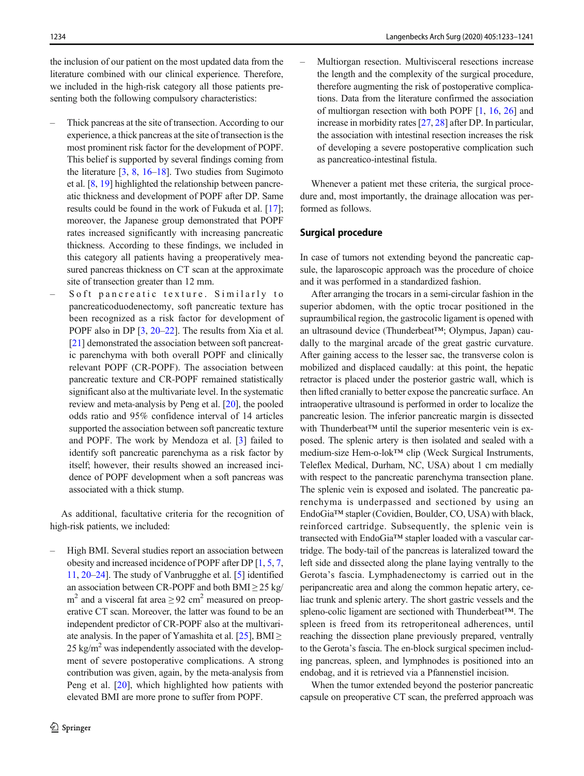the inclusion of our patient on the most updated data from the literature combined with our clinical experience. Therefore, we included in the high-risk category all those patients presenting both the following compulsory characteristics:

- Thick pancreas at the site of transection. According to our experience, a thick pancreas at the site of transection is the most prominent risk factor for the development of POPF. This belief is supported by several findings coming from the literature  $\left[3, 8, 16-18\right]$  $\left[3, 8, 16-18\right]$  $\left[3, 8, 16-18\right]$  $\left[3, 8, 16-18\right]$  $\left[3, 8, 16-18\right]$  $\left[3, 8, 16-18\right]$  $\left[3, 8, 16-18\right]$ . Two studies from Sugimoto et al. [\[8](#page-7-0), [19\]](#page-7-0) highlighted the relationship between pancreatic thickness and development of POPF after DP. Same results could be found in the work of Fukuda et al. [[17](#page-7-0)]; moreover, the Japanese group demonstrated that POPF rates increased significantly with increasing pancreatic thickness. According to these findings, we included in this category all patients having a preoperatively measured pancreas thickness on CT scan at the approximate site of transection greater than 12 mm.
- Soft pancreatic texture. Similarly to pancreaticoduodenectomy, soft pancreatic texture has been recognized as a risk factor for development of POPF also in DP [\[3](#page-6-0), [20](#page-7-0)–[22](#page-7-0)]. The results from Xia et al. [[21](#page-7-0)] demonstrated the association between soft pancreatic parenchyma with both overall POPF and clinically relevant POPF (CR-POPF). The association between pancreatic texture and CR-POPF remained statistically significant also at the multivariate level. In the systematic review and meta-analysis by Peng et al. [\[20](#page-7-0)], the pooled odds ratio and 95% confidence interval of 14 articles supported the association between soft pancreatic texture and POPF. The work by Mendoza et al. [\[3](#page-6-0)] failed to identify soft pancreatic parenchyma as a risk factor by itself; however, their results showed an increased incidence of POPF development when a soft pancreas was associated with a thick stump.

As additional, facultative criteria for the recognition of high-risk patients, we included:

– High BMI. Several studies report an association between obesity and increased incidence of POPF after DP [\[1](#page-6-0), [5](#page-6-0), [7,](#page-7-0) [11](#page-7-0), [20](#page-7-0)–[24](#page-7-0)]. The study of Vanbrugghe et al. [[5\]](#page-6-0) identified an association between CR-POPF and both BMI  $\geq$  25 kg/ m<sup>2</sup> and a visceral fat area  $\geq$  92 cm<sup>2</sup> measured on preoperative CT scan. Moreover, the latter was found to be an independent predictor of CR-POPF also at the multivari-ate analysis. In the paper of Yamashita et al. [[25\]](#page-7-0), BMI $\geq$  $25 \text{ kg/m}^2$  was independently associated with the development of severe postoperative complications. A strong contribution was given, again, by the meta-analysis from Peng et al. [[20](#page-7-0)], which highlighted how patients with elevated BMI are more prone to suffer from POPF.

– Multiorgan resection. Multivisceral resections increase the length and the complexity of the surgical procedure, therefore augmenting the risk of postoperative complications. Data from the literature confirmed the association of multiorgan resection with both POPF [\[1](#page-6-0), [16,](#page-7-0) [26\]](#page-7-0) and increase in morbidity rates [[27,](#page-7-0) [28\]](#page-7-0) after DP. In particular, the association with intestinal resection increases the risk of developing a severe postoperative complication such as pancreatico-intestinal fistula.

Whenever a patient met these criteria, the surgical procedure and, most importantly, the drainage allocation was performed as follows.

#### Surgical procedure

In case of tumors not extending beyond the pancreatic capsule, the laparoscopic approach was the procedure of choice and it was performed in a standardized fashion.

After arranging the trocars in a semi-circular fashion in the superior abdomen, with the optic trocar positioned in the supraumbilical region, the gastrocolic ligament is opened with an ultrasound device (Thunderbeat™; Olympus, Japan) caudally to the marginal arcade of the great gastric curvature. After gaining access to the lesser sac, the transverse colon is mobilized and displaced caudally: at this point, the hepatic retractor is placed under the posterior gastric wall, which is then lifted cranially to better expose the pancreatic surface. An intraoperative ultrasound is performed in order to localize the pancreatic lesion. The inferior pancreatic margin is dissected with Thunderbeat<sup>™</sup> until the superior mesenteric vein is exposed. The splenic artery is then isolated and sealed with a medium-size Hem-o-lok™ clip (Weck Surgical Instruments, Teleflex Medical, Durham, NC, USA) about 1 cm medially with respect to the pancreatic parenchyma transection plane. The splenic vein is exposed and isolated. The pancreatic parenchyma is underpassed and sectioned by using an EndoGia™ stapler (Covidien, Boulder, CO, USA) with black, reinforced cartridge. Subsequently, the splenic vein is transected with EndoGia™ stapler loaded with a vascular cartridge. The body-tail of the pancreas is lateralized toward the left side and dissected along the plane laying ventrally to the Gerota's fascia. Lymphadenectomy is carried out in the peripancreatic area and along the common hepatic artery, celiac trunk and splenic artery. The short gastric vessels and the spleno-colic ligament are sectioned with Thunderbeat<sup>™</sup>. The spleen is freed from its retroperitoneal adherences, until reaching the dissection plane previously prepared, ventrally to the Gerota's fascia. The en-block surgical specimen including pancreas, spleen, and lymphnodes is positioned into an endobag, and it is retrieved via a Pfannenstiel incision.

When the tumor extended beyond the posterior pancreatic capsule on preoperative CT scan, the preferred approach was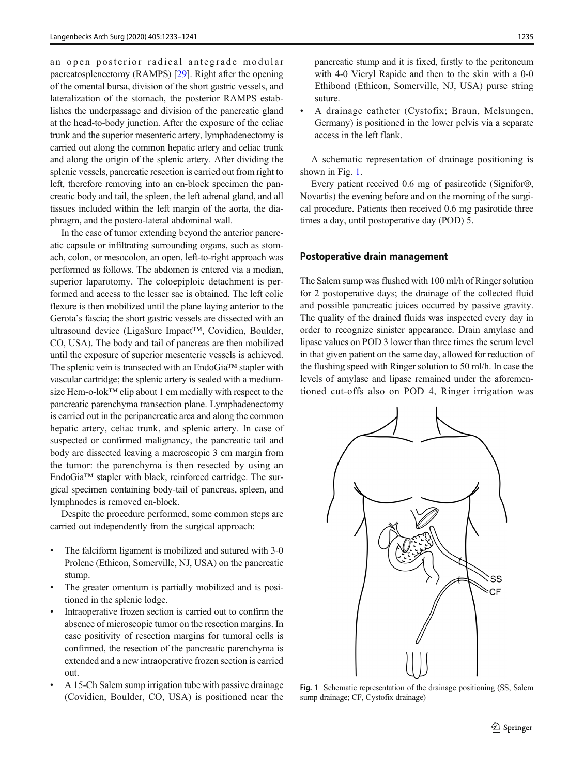an open posterior radical antegrade modular pacreatosplenectomy (RAMPS) [[29](#page-7-0)]. Right after the opening of the omental bursa, division of the short gastric vessels, and lateralization of the stomach, the posterior RAMPS establishes the underpassage and division of the pancreatic gland at the head-to-body junction. After the exposure of the celiac trunk and the superior mesenteric artery, lymphadenectomy is carried out along the common hepatic artery and celiac trunk and along the origin of the splenic artery. After dividing the splenic vessels, pancreatic resection is carried out from right to left, therefore removing into an en-block specimen the pancreatic body and tail, the spleen, the left adrenal gland, and all tissues included within the left margin of the aorta, the diaphragm, and the postero-lateral abdominal wall.

In the case of tumor extending beyond the anterior pancreatic capsule or infiltrating surrounding organs, such as stomach, colon, or mesocolon, an open, left-to-right approach was performed as follows. The abdomen is entered via a median, superior laparotomy. The coloepiploic detachment is performed and access to the lesser sac is obtained. The left colic flexure is then mobilized until the plane laying anterior to the Gerota's fascia; the short gastric vessels are dissected with an ultrasound device (LigaSure Impact™, Covidien, Boulder, CO, USA). The body and tail of pancreas are then mobilized until the exposure of superior mesenteric vessels is achieved. The splenic vein is transected with an EndoGia™ stapler with vascular cartridge; the splenic artery is sealed with a mediumsize Hem-o-lok™ clip about 1 cm medially with respect to the pancreatic parenchyma transection plane. Lymphadenectomy is carried out in the peripancreatic area and along the common hepatic artery, celiac trunk, and splenic artery. In case of suspected or confirmed malignancy, the pancreatic tail and body are dissected leaving a macroscopic 3 cm margin from the tumor: the parenchyma is then resected by using an EndoGia™ stapler with black, reinforced cartridge. The surgical specimen containing body-tail of pancreas, spleen, and lymphnodes is removed en-block.

Despite the procedure performed, some common steps are carried out independently from the surgical approach:

- The falciform ligament is mobilized and sutured with 3-0 Prolene (Ethicon, Somerville, NJ, USA) on the pancreatic stump.
- The greater omentum is partially mobilized and is positioned in the splenic lodge.
- Intraoperative frozen section is carried out to confirm the absence of microscopic tumor on the resection margins. In case positivity of resection margins for tumoral cells is confirmed, the resection of the pancreatic parenchyma is extended and a new intraoperative frozen section is carried out.
- & A 15-Ch Salem sump irrigation tube with passive drainage (Covidien, Boulder, CO, USA) is positioned near the

pancreatic stump and it is fixed, firstly to the peritoneum with 4-0 Vicryl Rapide and then to the skin with a 0-0 Ethibond (Ethicon, Somerville, NJ, USA) purse string suture.

& A drainage catheter (Cystofix; Braun, Melsungen, Germany) is positioned in the lower pelvis via a separate access in the left flank.

A schematic representation of drainage positioning is shown in Fig. 1.

Every patient received 0.6 mg of pasireotide (Signifor®, Novartis) the evening before and on the morning of the surgical procedure. Patients then received 0.6 mg pasirotide three times a day, until postoperative day (POD) 5.

#### Postoperative drain management

The Salem sump was flushed with 100 ml/h of Ringer solution for 2 postoperative days; the drainage of the collected fluid and possible pancreatic juices occurred by passive gravity. The quality of the drained fluids was inspected every day in order to recognize sinister appearance. Drain amylase and lipase values on POD 3 lower than three times the serum level in that given patient on the same day, allowed for reduction of the flushing speed with Ringer solution to 50 ml/h. In case the levels of amylase and lipase remained under the aforementioned cut-offs also on POD 4, Ringer irrigation was



Fig. 1 Schematic representation of the drainage positioning (SS, Salem sump drainage; CF, Cystofix drainage)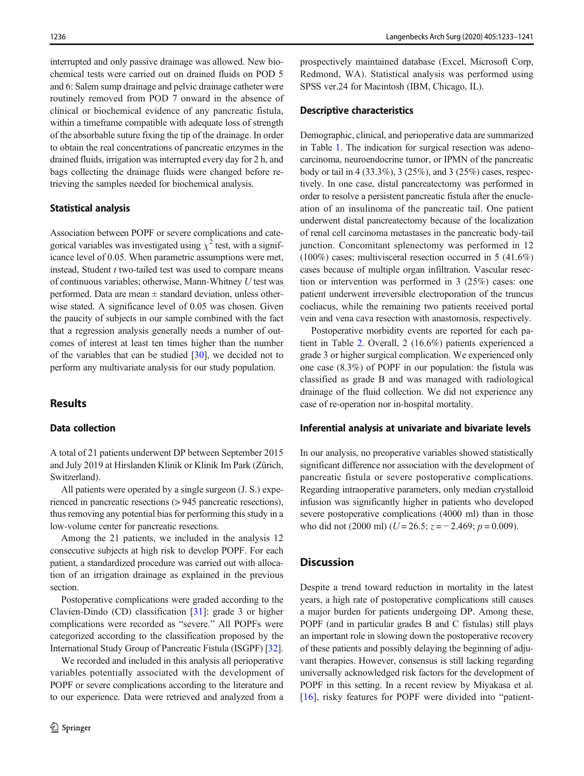interrupted and only passive drainage was allowed. New biochemical tests were carried out on drained fluids on POD 5 and 6: Salem sump drainage and pelvic drainage catheter were routinely removed from POD 7 onward in the absence of clinical or biochemical evidence of any pancreatic fistula, within a timeframe compatible with adequate loss of strength of the absorbable suture fixing the tip of the drainage. In order to obtain the real concentrations of pancreatic enzymes in the drained fluids, irrigation was interrupted every day for 2 h, and bags collecting the drainage fluids were changed before retrieving the samples needed for biochemical analysis.

#### Statistical analysis

Association between POPF or severe complications and categorical variables was investigated using  $\chi^2$  test, with a significance level of 0.05. When parametric assumptions were met, instead, Student  $t$  two-tailed test was used to compare means of continuous variables; otherwise, Mann-Whitney U test was performed. Data are mean  $\pm$  standard deviation, unless otherwise stated. A significance level of 0.05 was chosen. Given the paucity of subjects in our sample combined with the fact that a regression analysis generally needs a number of outcomes of interest at least ten times higher than the number of the variables that can be studied [\[30](#page-7-0)], we decided not to perform any multivariate analysis for our study population.

#### Results

## Data collection

A total of 21 patients underwent DP between September 2015 and July 2019 at Hirslanden Klinik or Klinik Im Park (Zürich, Switzerland).

All patients were operated by a single surgeon (J. S.) experienced in pancreatic resections (> 945 pancreatic resections), thus removing any potential bias for performing this study in a low-volume center for pancreatic resections.

Among the 21 patients, we included in the analysis 12 consecutive subjects at high risk to develop POPF. For each patient, a standardized procedure was carried out with allocation of an irrigation drainage as explained in the previous section.

Postoperative complications were graded according to the Clavien-Dindo (CD) classification [\[31](#page-7-0)]: grade 3 or higher complications were recorded as "severe." All POPFs were categorized according to the classification proposed by the International Study Group of Pancreatic Fistula (ISGPF) [[32\]](#page-7-0).

We recorded and included in this analysis all perioperative variables potentially associated with the development of POPF or severe complications according to the literature and to our experience. Data were retrieved and analyzed from a

prospectively maintained database (Excel, Microsoft Corp, Redmond, WA). Statistical analysis was performed using SPSS ver.24 for Macintosh (IBM, Chicago, IL).

#### Descriptive characteristics

Demographic, clinical, and perioperative data are summarized in Table [1](#page-4-0). The indication for surgical resection was adenocarcinoma, neuroendocrine tumor, or IPMN of the pancreatic body or tail in 4 (33.3%), 3 (25%), and 3 (25%) cases, respectively. In one case, distal pancreatectomy was performed in order to resolve a persistent pancreatic fistula after the enucleation of an insulinoma of the pancreatic tail. One patient underwent distal pancreatectomy because of the localization of renal cell carcinoma metastases in the pancreatic body-tail junction. Concomitant splenectomy was performed in 12 (100%) cases; multivisceral resection occurred in 5 (41.6%) cases because of multiple organ infiltration. Vascular resection or intervention was performed in 3 (25%) cases: one patient underwent irreversible electroporation of the truncus coeliacus, while the remaining two patients received portal vein and vena cava resection with anastomosis, respectively.

Postoperative morbidity events are reported for each patient in Table [2](#page-4-0). Overall, 2 (16.6%) patients experienced a grade 3 or higher surgical complication. We experienced only one case (8.3%) of POPF in our population: the fistula was classified as grade B and was managed with radiological drainage of the fluid collection. We did not experience any case of re-operation nor in-hospital mortality.

#### Inferential analysis at univariate and bivariate levels

In our analysis, no preoperative variables showed statistically significant difference nor association with the development of pancreatic fistula or severe postoperative complications. Regarding intraoperative parameters, only median crystalloid infusion was significantly higher in patients who developed severe postoperative complications (4000 ml) than in those who did not (2000 ml) ( $U = 26.5$ ;  $z = -2.469$ ;  $p = 0.009$ ).

# **Discussion**

Despite a trend toward reduction in mortality in the latest years, a high rate of postoperative complications still causes a major burden for patients undergoing DP. Among these, POPF (and in particular grades B and C fistulas) still plays an important role in slowing down the postoperative recovery of these patients and possibly delaying the beginning of adjuvant therapies. However, consensus is still lacking regarding universally acknowledged risk factors for the development of POPF in this setting. In a recent review by Miyakasa et al. [\[16\]](#page-7-0), risky features for POPF were divided into "patient-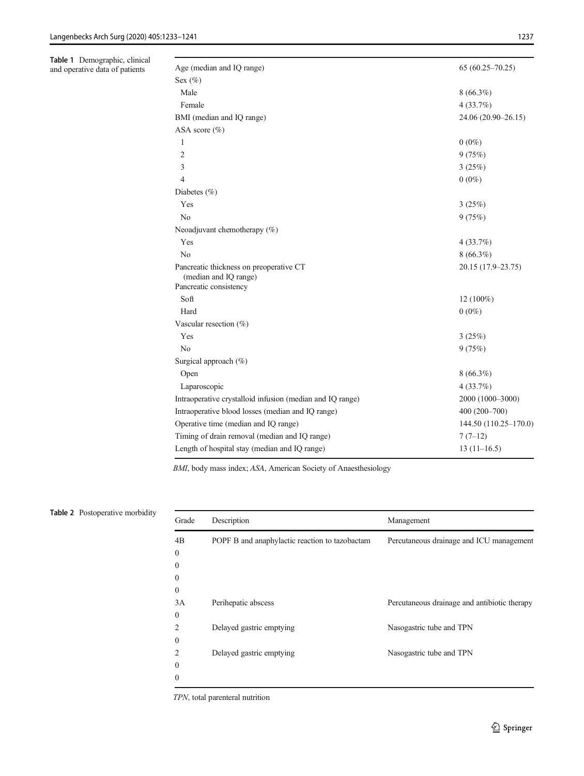<span id="page-4-0"></span>Table 1 Demographic, clinical

| <b>Table I</b> Demographic, clinical<br>and operative data of patients | Age (median and IQ range)                                                                  | $65(60.25 - 70.25)$   |  |  |  |  |
|------------------------------------------------------------------------|--------------------------------------------------------------------------------------------|-----------------------|--|--|--|--|
|                                                                        | Sex $(\%)$                                                                                 |                       |  |  |  |  |
|                                                                        | Male                                                                                       | $8(66.3\%)$           |  |  |  |  |
|                                                                        | Female                                                                                     | 4(33.7%)              |  |  |  |  |
|                                                                        | BMI (median and IQ range)                                                                  | 24.06 (20.90-26.15)   |  |  |  |  |
|                                                                        | ASA score $(\%)$                                                                           |                       |  |  |  |  |
|                                                                        | $\mathbf{1}$                                                                               | $0(0\%)$              |  |  |  |  |
|                                                                        | $\mathfrak{2}$                                                                             | 9(75%)                |  |  |  |  |
|                                                                        | 3                                                                                          | 3(25%)                |  |  |  |  |
|                                                                        | 4                                                                                          | $0(0\%)$              |  |  |  |  |
|                                                                        | Diabetes $(\%)$                                                                            |                       |  |  |  |  |
|                                                                        | Yes                                                                                        | 3(25%)                |  |  |  |  |
|                                                                        | N <sub>o</sub>                                                                             | 9(75%)                |  |  |  |  |
|                                                                        | Neoadjuvant chemotherapy (%)                                                               |                       |  |  |  |  |
|                                                                        | Yes                                                                                        | 4(33.7%)              |  |  |  |  |
|                                                                        | N <sub>o</sub>                                                                             | $8(66.3\%)$           |  |  |  |  |
|                                                                        | Pancreatic thickness on preoperative CT<br>(median and IQ range)<br>Pancreatic consistency | 20.15 (17.9-23.75)    |  |  |  |  |
|                                                                        | Soft                                                                                       | 12 (100%)             |  |  |  |  |
|                                                                        | Hard                                                                                       | $0(0\%)$              |  |  |  |  |
|                                                                        | Vascular resection $(\%)$                                                                  |                       |  |  |  |  |
|                                                                        | Yes                                                                                        | 3(25%)                |  |  |  |  |
|                                                                        | N <sub>o</sub>                                                                             | 9(75%)                |  |  |  |  |
|                                                                        | Surgical approach (%)                                                                      |                       |  |  |  |  |
|                                                                        | Open                                                                                       | $8(66.3\%)$           |  |  |  |  |
|                                                                        | Laparoscopic                                                                               | 4(33.7%)              |  |  |  |  |
|                                                                        | Intraoperative crystalloid infusion (median and IQ range)                                  | 2000 (1000-3000)      |  |  |  |  |
|                                                                        | Intraoperative blood losses (median and IQ range)                                          | 400 (200-700)         |  |  |  |  |
|                                                                        | Operative time (median and IQ range)                                                       | 144.50 (110.25-170.0) |  |  |  |  |
|                                                                        | Timing of drain removal (median and IQ range)                                              | $7(7-12)$             |  |  |  |  |
|                                                                        | Length of hospital stay (median and IQ range)                                              | $13(11-16.5)$         |  |  |  |  |
|                                                                        |                                                                                            |                       |  |  |  |  |

BMI, body mass index; ASA, American Society of Anaesthesiology

|  | <b>Table 2</b> Postoperative morbidity |                |                                                |                                              |
|--|----------------------------------------|----------------|------------------------------------------------|----------------------------------------------|
|  |                                        | Grade          | Description                                    | Management                                   |
|  |                                        | 4B             | POPF B and anaphylactic reaction to tazobactam | Percutaneous drainage and ICU management     |
|  |                                        | $\mathbf{0}$   |                                                |                                              |
|  |                                        | $\mathbf{0}$   |                                                |                                              |
|  |                                        | $\mathbf{0}$   |                                                |                                              |
|  |                                        | $\mathbf{0}$   |                                                |                                              |
|  |                                        | 3A             | Perihepatic abscess                            | Percutaneous drainage and antibiotic therapy |
|  |                                        | $\mathbf{0}$   |                                                |                                              |
|  |                                        | $\overline{2}$ | Delayed gastric emptying                       | Nasogastric tube and TPN                     |
|  |                                        | $\mathbf{0}$   |                                                |                                              |
|  |                                        | $\overline{2}$ | Delayed gastric emptying                       | Nasogastric tube and TPN                     |
|  |                                        | $\mathbf{0}$   |                                                |                                              |
|  |                                        | $\mathbf{0}$   |                                                |                                              |

TPN, total parenteral nutrition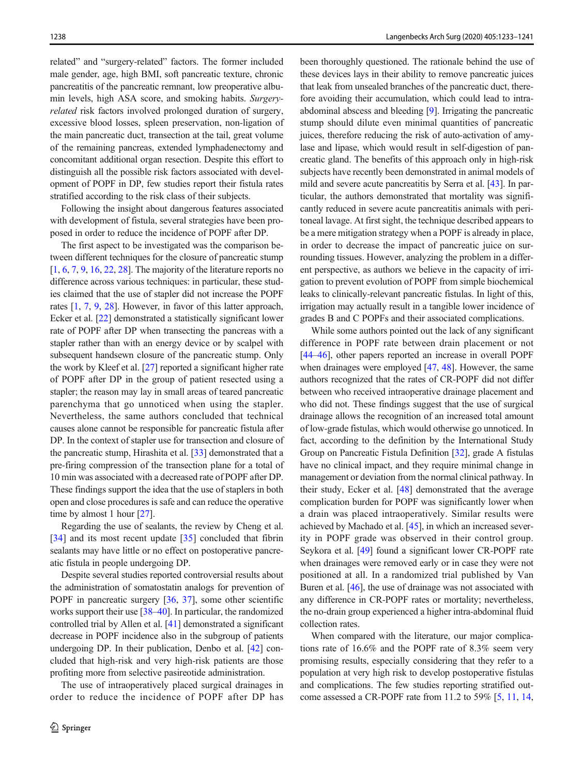related" and "surgery-related" factors. The former included male gender, age, high BMI, soft pancreatic texture, chronic pancreatitis of the pancreatic remnant, low preoperative albumin levels, high ASA score, and smoking habits. Surgeryrelated risk factors involved prolonged duration of surgery, excessive blood losses, spleen preservation, non-ligation of the main pancreatic duct, transection at the tail, great volume of the remaining pancreas, extended lymphadenectomy and concomitant additional organ resection. Despite this effort to distinguish all the possible risk factors associated with development of POPF in DP, few studies report their fistula rates stratified according to the risk class of their subjects.

Following the insight about dangerous features associated with development of fistula, several strategies have been proposed in order to reduce the incidence of POPF after DP.

The first aspect to be investigated was the comparison between different techniques for the closure of pancreatic stump  $[1, 6, 7, 9, 16, 22, 28]$  $[1, 6, 7, 9, 16, 22, 28]$  $[1, 6, 7, 9, 16, 22, 28]$  $[1, 6, 7, 9, 16, 22, 28]$  $[1, 6, 7, 9, 16, 22, 28]$  $[1, 6, 7, 9, 16, 22, 28]$  $[1, 6, 7, 9, 16, 22, 28]$  $[1, 6, 7, 9, 16, 22, 28]$  $[1, 6, 7, 9, 16, 22, 28]$  $[1, 6, 7, 9, 16, 22, 28]$  $[1, 6, 7, 9, 16, 22, 28]$  $[1, 6, 7, 9, 16, 22, 28]$  $[1, 6, 7, 9, 16, 22, 28]$  $[1, 6, 7, 9, 16, 22, 28]$ . The majority of the literature reports no difference across various techniques: in particular, these studies claimed that the use of stapler did not increase the POPF rates [\[1](#page-6-0), [7,](#page-7-0) [9](#page-7-0), [28](#page-7-0)]. However, in favor of this latter approach, Ecker et al. [[22](#page-7-0)] demonstrated a statistically significant lower rate of POPF after DP when transecting the pancreas with a stapler rather than with an energy device or by scalpel with subsequent handsewn closure of the pancreatic stump. Only the work by Kleef et al. [\[27\]](#page-7-0) reported a significant higher rate of POPF after DP in the group of patient resected using a stapler; the reason may lay in small areas of teared pancreatic parenchyma that go unnoticed when using the stapler. Nevertheless, the same authors concluded that technical causes alone cannot be responsible for pancreatic fistula after DP. In the context of stapler use for transection and closure of the pancreatic stump, Hirashita et al. [\[33\]](#page-7-0) demonstrated that a pre-firing compression of the transection plane for a total of 10 min was associated with a decreased rate of POPF after DP. These findings support the idea that the use of staplers in both open and close procedures is safe and can reduce the operative time by almost 1 hour [[27\]](#page-7-0).

Regarding the use of sealants, the review by Cheng et al. [\[34](#page-7-0)] and its most recent update [[35\]](#page-7-0) concluded that fibrin sealants may have little or no effect on postoperative pancreatic fistula in people undergoing DP.

Despite several studies reported controversial results about the administration of somatostatin analogs for prevention of POPF in pancreatic surgery [[36,](#page-7-0) [37\]](#page-7-0), some other scientific works support their use [\[38](#page-7-0)–[40](#page-7-0)]. In particular, the randomized controlled trial by Allen et al. [\[41](#page-7-0)] demonstrated a significant decrease in POPF incidence also in the subgroup of patients undergoing DP. In their publication, Denbo et al. [\[42](#page-7-0)] concluded that high-risk and very high-risk patients are those profiting more from selective pasireotide administration.

The use of intraoperatively placed surgical drainages in order to reduce the incidence of POPF after DP has been thoroughly questioned. The rationale behind the use of these devices lays in their ability to remove pancreatic juices that leak from unsealed branches of the pancreatic duct, therefore avoiding their accumulation, which could lead to intraabdominal abscess and bleeding [[9\]](#page-7-0). Irrigating the pancreatic stump should dilute even minimal quantities of pancreatic juices, therefore reducing the risk of auto-activation of amylase and lipase, which would result in self-digestion of pancreatic gland. The benefits of this approach only in high-risk subjects have recently been demonstrated in animal models of mild and severe acute pancreatitis by Serra et al. [\[43\]](#page-7-0). In particular, the authors demonstrated that mortality was significantly reduced in severe acute pancreatitis animals with peritoneal lavage. At first sight, the technique described appears to be a mere mitigation strategy when a POPF is already in place, in order to decrease the impact of pancreatic juice on surrounding tissues. However, analyzing the problem in a different perspective, as authors we believe in the capacity of irrigation to prevent evolution of POPF from simple biochemical leaks to clinically-relevant pancreatic fistulas. In light of this, irrigation may actually result in a tangible lower incidence of grades B and C POPFs and their associated complications.

While some authors pointed out the lack of any significant difference in POPF rate between drain placement or not [\[44](#page-8-0)–[46\]](#page-8-0), other papers reported an increase in overall POPF when drainages were employed [[47](#page-8-0), [48\]](#page-8-0). However, the same authors recognized that the rates of CR-POPF did not differ between who received intraoperative drainage placement and who did not. These findings suggest that the use of surgical drainage allows the recognition of an increased total amount of low-grade fistulas, which would otherwise go unnoticed. In fact, according to the definition by the International Study Group on Pancreatic Fistula Definition [\[32\]](#page-7-0), grade A fistulas have no clinical impact, and they require minimal change in management or deviation from the normal clinical pathway. In their study, Ecker et al. [[48\]](#page-8-0) demonstrated that the average complication burden for POPF was significantly lower when a drain was placed intraoperatively. Similar results were achieved by Machado et al. [\[45](#page-8-0)], in which an increased severity in POPF grade was observed in their control group. Seykora et al. [\[49](#page-8-0)] found a significant lower CR-POPF rate when drainages were removed early or in case they were not positioned at all. In a randomized trial published by Van Buren et al. [\[46\]](#page-8-0), the use of drainage was not associated with any difference in CR-POPF rates or mortality; nevertheless, the no-drain group experienced a higher intra-abdominal fluid collection rates.

When compared with the literature, our major complications rate of 16.6% and the POPF rate of 8.3% seem very promising results, especially considering that they refer to a population at very high risk to develop postoperative fistulas and complications. The few studies reporting stratified outcome assessed a CR-POPF rate from 11.2 to 59% [\[5,](#page-6-0) [11,](#page-7-0) [14,](#page-7-0)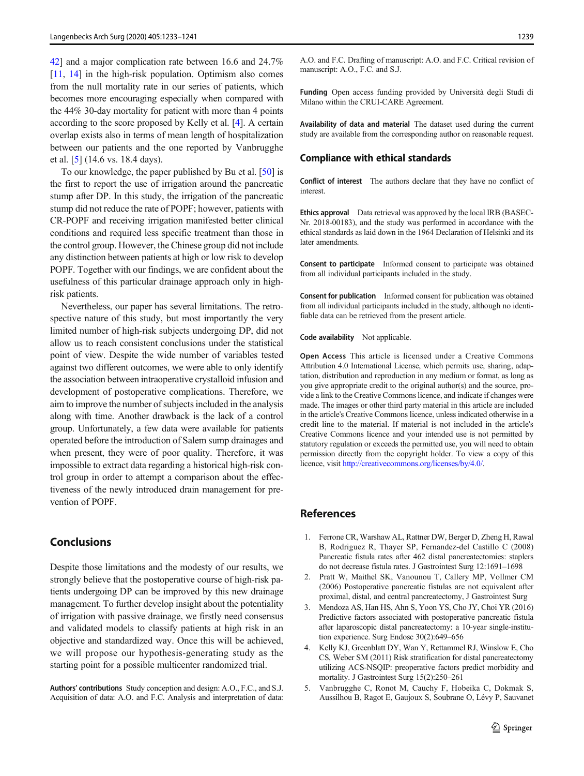<span id="page-6-0"></span>[42\]](#page-7-0) and a major complication rate between 16.6 and 24.7% [\[11](#page-7-0), [14](#page-7-0)] in the high-risk population. Optimism also comes from the null mortality rate in our series of patients, which becomes more encouraging especially when compared with the 44% 30-day mortality for patient with more than 4 points according to the score proposed by Kelly et al. [4]. A certain overlap exists also in terms of mean length of hospitalization between our patients and the one reported by Vanbrugghe et al. [5] (14.6 vs. 18.4 days).

To our knowledge, the paper published by Bu et al. [\[50](#page-8-0)] is the first to report the use of irrigation around the pancreatic stump after DP. In this study, the irrigation of the pancreatic stump did not reduce the rate of POPF; however, patients with CR-POPF and receiving irrigation manifested better clinical conditions and required less specific treatment than those in the control group. However, the Chinese group did not include any distinction between patients at high or low risk to develop POPF. Together with our findings, we are confident about the usefulness of this particular drainage approach only in highrisk patients.

Nevertheless, our paper has several limitations. The retrospective nature of this study, but most importantly the very limited number of high-risk subjects undergoing DP, did not allow us to reach consistent conclusions under the statistical point of view. Despite the wide number of variables tested against two different outcomes, we were able to only identify the association between intraoperative crystalloid infusion and development of postoperative complications. Therefore, we aim to improve the number of subjects included in the analysis along with time. Another drawback is the lack of a control group. Unfortunately, a few data were available for patients operated before the introduction of Salem sump drainages and when present, they were of poor quality. Therefore, it was impossible to extract data regarding a historical high-risk control group in order to attempt a comparison about the effectiveness of the newly introduced drain management for prevention of POPF.

# Conclusions

Despite those limitations and the modesty of our results, we strongly believe that the postoperative course of high-risk patients undergoing DP can be improved by this new drainage management. To further develop insight about the potentiality of irrigation with passive drainage, we firstly need consensus and validated models to classify patients at high risk in an objective and standardized way. Once this will be achieved, we will propose our hypothesis-generating study as the starting point for a possible multicenter randomized trial.

Authors' contributions Study conception and design: A.O., F.C., and S.J. Acquisition of data: A.O. and F.C. Analysis and interpretation of data: A.O. and F.C. Drafting of manuscript: A.O. and F.C. Critical revision of manuscript: A.O., F.C. and S.J.

Funding Open access funding provided by Università degli Studi di Milano within the CRUI-CARE Agreement.

Availability of data and material The dataset used during the current study are available from the corresponding author on reasonable request.

#### Compliance with ethical standards

Conflict of interest The authors declare that they have no conflict of interest.

Ethics approval Data retrieval was approved by the local IRB (BASEC-Nr. 2018-00183), and the study was performed in accordance with the ethical standards as laid down in the 1964 Declaration of Helsinki and its later amendments.

Consent to participate Informed consent to participate was obtained from all individual participants included in the study.

Consent for publication Informed consent for publication was obtained from all individual participants included in the study, although no identifiable data can be retrieved from the present article.

Code availability Not applicable.

Open Access This article is licensed under a Creative Commons Attribution 4.0 International License, which permits use, sharing, adaptation, distribution and reproduction in any medium or format, as long as you give appropriate credit to the original author(s) and the source, provide a link to the Creative Commons licence, and indicate if changes were made. The images or other third party material in this article are included in the article's Creative Commons licence, unless indicated otherwise in a credit line to the material. If material is not included in the article's Creative Commons licence and your intended use is not permitted by statutory regulation or exceeds the permitted use, you will need to obtain permission directly from the copyright holder. To view a copy of this licence, visit [http://creativecommons.org/licenses/by/4.0/](https://doi.org/).

# References

- 1. Ferrone CR, Warshaw AL, Rattner DW, Berger D, Zheng H, Rawal B, Rodriguez R, Thayer SP, Fernandez-del Castillo C (2008) Pancreatic fistula rates after 462 distal pancreatectomies: staplers do not decrease fistula rates. J Gastrointest Surg 12:1691–1698
- 2. Pratt W, Maithel SK, Vanounou T, Callery MP, Vollmer CM (2006) Postoperative pancreatic fistulas are not equivalent after proximal, distal, and central pancreatectomy, J Gastrointest Surg
- 3. Mendoza AS, Han HS, Ahn S, Yoon YS, Cho JY, Choi YR (2016) Predictive factors associated with postoperative pancreatic fistula after laparoscopic distal pancreatectomy: a 10-year single-institution experience. Surg Endosc 30(2):649–656
- 4. Kelly KJ, Greenblatt DY, Wan Y, Rettammel RJ, Winslow E, Cho CS, Weber SM (2011) Risk stratification for distal pancreatectomy utilizing ACS-NSQIP: preoperative factors predict morbidity and mortality. J Gastrointest Surg 15(2):250–261
- 5. Vanbrugghe C, Ronot M, Cauchy F, Hobeika C, Dokmak S, Aussilhou B, Ragot E, Gaujoux S, Soubrane O, Lévy P, Sauvanet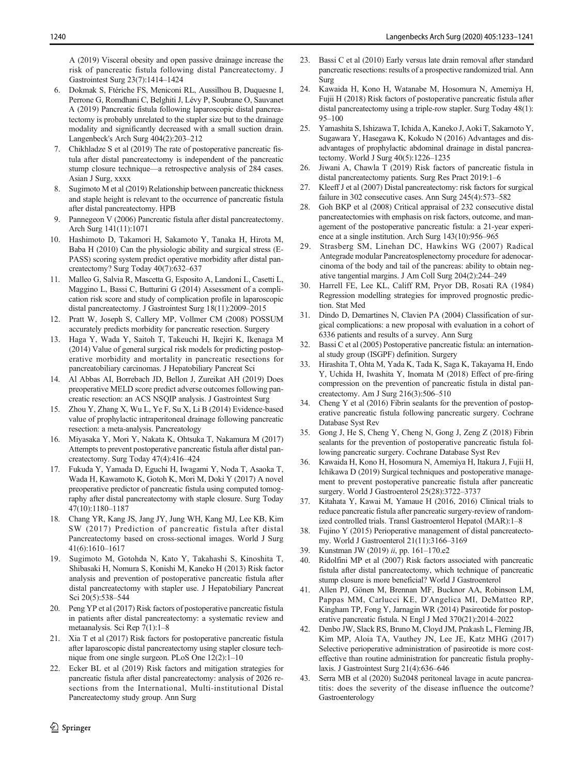<span id="page-7-0"></span>A (2019) Visceral obesity and open passive drainage increase the risk of pancreatic fistula following distal Pancreatectomy. J Gastrointest Surg 23(7):1414–1424

- 6. Dokmak S, Ftériche FS, Meniconi RL, Aussilhou B, Duquesne I, Perrone G, Romdhani C, Belghiti J, Lévy P, Soubrane O, Sauvanet A (2019) Pancreatic fistula following laparoscopic distal pancreatectomy is probably unrelated to the stapler size but to the drainage modality and significantly decreased with a small suction drain. Langenbeck's Arch Surg 404(2):203–212
- 7. Chikhladze S et al (2019) The rate of postoperative pancreatic fistula after distal pancreatectomy is independent of the pancreatic stump closure technique—a retrospective analysis of 284 cases. Asian J Surg, xxxx
- 8. Sugimoto M et al (2019) Relationship between pancreatic thickness and staple height is relevant to the occurrence of pancreatic fistula after distal pancreatectomy. HPB
- Pannegeon V (2006) Pancreatic fistula after distal pancreatectomy. Arch Surg 141(11):1071
- 10. Hashimoto D, Takamori H, Sakamoto Y, Tanaka H, Hirota M, Baba H (2010) Can the physiologic ability and surgical stress (E-PASS) scoring system predict operative morbidity after distal pancreatectomy? Surg Today 40(7):632–637
- 11. Malleo G, Salvia R, Mascetta G, Esposito A, Landoni L, Casetti L, Maggino L, Bassi C, Butturini G (2014) Assessment of a complication risk score and study of complication profile in laparoscopic distal pancreatectomy. J Gastrointest Surg 18(11):2009–2015
- 12. Pratt W, Joseph S, Callery MP, Vollmer CM (2008) POSSUM accurately predicts morbidity for pancreatic resection. Surgery
- 13. Haga Y, Wada Y, Saitoh T, Takeuchi H, Ikejiri K, Ikenaga M (2014) Value of general surgical risk models for predicting postoperative morbidity and mortality in pancreatic resections for pancreatobiliary carcinomas. J Hepatobiliary Pancreat Sci
- 14. Al Abbas AI, Borrebach JD, Bellon J, Zureikat AH (2019) Does preoperative MELD score predict adverse outcomes following pancreatic resection: an ACS NSQIP analysis. J Gastrointest Surg
- 15. Zhou Y, Zhang X, Wu L, Ye F, Su X, Li B (2014) Evidence-based value of prophylactic intraperitoneal drainage following pancreatic resection: a meta-analysis. Pancreatology
- 16. Miyasaka Y, Mori Y, Nakata K, Ohtsuka T, Nakamura M (2017) Attempts to prevent postoperative pancreatic fistula after distal pancreatectomy. Surg Today 47(4):416–424
- 17. Fukuda Y, Yamada D, Eguchi H, Iwagami Y, Noda T, Asaoka T, Wada H, Kawamoto K, Gotoh K, Mori M, Doki Y (2017) A novel preoperative predictor of pancreatic fistula using computed tomography after distal pancreatectomy with staple closure. Surg Today 47(10):1180–1187
- 18. Chang YR, Kang JS, Jang JY, Jung WH, Kang MJ, Lee KB, Kim SW (2017) Prediction of pancreatic fistula after distal Pancreatectomy based on cross-sectional images. World J Surg 41(6):1610–1617
- 19. Sugimoto M, Gotohda N, Kato Y, Takahashi S, Kinoshita T, Shibasaki H, Nomura S, Konishi M, Kaneko H (2013) Risk factor analysis and prevention of postoperative pancreatic fistula after distal pancreatectomy with stapler use. J Hepatobiliary Pancreat Sci 20(5):538–544
- 20. Peng YP et al (2017) Risk factors of postoperative pancreatic fistula in patients after distal pancreatectomy: a systematic review and metaanalysis. Sci Rep 7(1):1–8
- 21. Xia T et al (2017) Risk factors for postoperative pancreatic fistula after laparoscopic distal pancreatectomy using stapler closure technique from one single surgeon. PLoS One 12(2):1–10
- 22. Ecker BL et al (2019) Risk factors and mitigation strategies for pancreatic fistula after distal pancreatectomy: analysis of 2026 resections from the International, Multi-institutional Distal Pancreatectomy study group. Ann Surg
- 23. Bassi C et al (2010) Early versus late drain removal after standard pancreatic resections: results of a prospective randomized trial. Ann Surg
- 24. Kawaida H, Kono H, Watanabe M, Hosomura N, Amemiya H, Fujii H (2018) Risk factors of postoperative pancreatic fistula after distal pancreatectomy using a triple-row stapler. Surg Today 48(1): 95–100
- 25. Yamashita S, Ishizawa T, Ichida A, Kaneko J, Aoki T, Sakamoto Y, Sugawara Y, Hasegawa K, Kokudo N (2016) Advantages and disadvantages of prophylactic abdominal drainage in distal pancreatectomy. World J Surg 40(5):1226–1235
- 26. Jiwani A, Chawla T (2019) Risk factors of pancreatic fistula in distal pancreatectomy patients. Surg Res Pract 2019:1–6
- 27. Kleeff J et al (2007) Distal pancreatectomy: risk factors for surgical failure in 302 consecutive cases. Ann Surg 245(4):573–582
- 28. Goh BKP et al (2008) Critical appraisal of 232 consecutive distal pancreatectomies with emphasis on risk factors, outcome, and management of the postoperative pancreatic fistula: a 21-year experience at a single institution. Arch Surg 143(10):956–965
- 29. Strasberg SM, Linehan DC, Hawkins WG (2007) Radical Antegrade modular Pancreatosplenectomy procedure for adenocarcinoma of the body and tail of the pancreas: ability to obtain negative tangential margins. J Am Coll Surg 204(2):244–249
- 30. Harrell FE, Lee KL, Califf RM, Pryor DB, Rosati RA (1984) Regression modelling strategies for improved prognostic prediction. Stat Med
- 31. Dindo D, Demartines N, Clavien PA (2004) Classification of surgical complications: a new proposal with evaluation in a cohort of 6336 patients and results of a survey. Ann Surg
- 32. Bassi C et al (2005) Postoperative pancreatic fistula: an international study group (ISGPF) definition. Surgery
- 33. Hirashita T, Ohta M, Yada K, Tada K, Saga K, Takayama H, Endo Y, Uchida H, Iwashita Y, Inomata M (2018) Effect of pre-firing compression on the prevention of pancreatic fistula in distal pancreatectomy. Am J Surg 216(3):506–510
- 34. Cheng Y et al (2016) Fibrin sealants for the prevention of postoperative pancreatic fistula following pancreatic surgery. Cochrane Database Syst Rev
- 35. Gong J, He S, Cheng Y, Cheng N, Gong J, Zeng Z (2018) Fibrin sealants for the prevention of postoperative pancreatic fistula following pancreatic surgery. Cochrane Database Syst Rev
- 36. Kawaida H, Kono H, Hosomura N, Amemiya H, Itakura J, Fujii H, Ichikawa D (2019) Surgical techniques and postoperative management to prevent postoperative pancreatic fistula after pancreatic surgery. World J Gastroenterol 25(28):3722–3737
- 37. Kitahata Y, Kawai M, Yamaue H (2016, 2016) Clinical trials to reduce pancreatic fistula after pancreatic surgery-review of randomized controlled trials. Transl Gastroenterol Hepatol (MAR):1–8
- 38. Fujino Y (2015) Perioperative management of distal pancreatectomy. World J Gastroenterol 21(11):3166–3169
- 39. Kunstman JW (2019) ii, pp. 161–170.e2
- Ridolfini MP et al (2007) Risk factors associated with pancreatic fistula after distal pancreatectomy, which technique of pancreatic stump closure is more beneficial? World J Gastroenterol
- 41. Allen PJ, Gönen M, Brennan MF, Bucknor AA, Robinson LM, Pappas MM, Carlucci KE, D'Angelica MI, DeMatteo RP, Kingham TP, Fong Y, Jarnagin WR (2014) Pasireotide for postoperative pancreatic fistula. N Engl J Med 370(21):2014–2022
- 42. Denbo JW, Slack RS, Bruno M, Cloyd JM, Prakash L, Fleming JB, Kim MP, Aloia TA, Vauthey JN, Lee JE, Katz MHG (2017) Selective perioperative administration of pasireotide is more costeffective than routine administration for pancreatic fistula prophylaxis. J Gastrointest Surg 21(4):636–646
- 43. Serra MB et al (2020) Su2048 peritoneal lavage in acute pancreatitis: does the severity of the disease influence the outcome? Gastroenterology